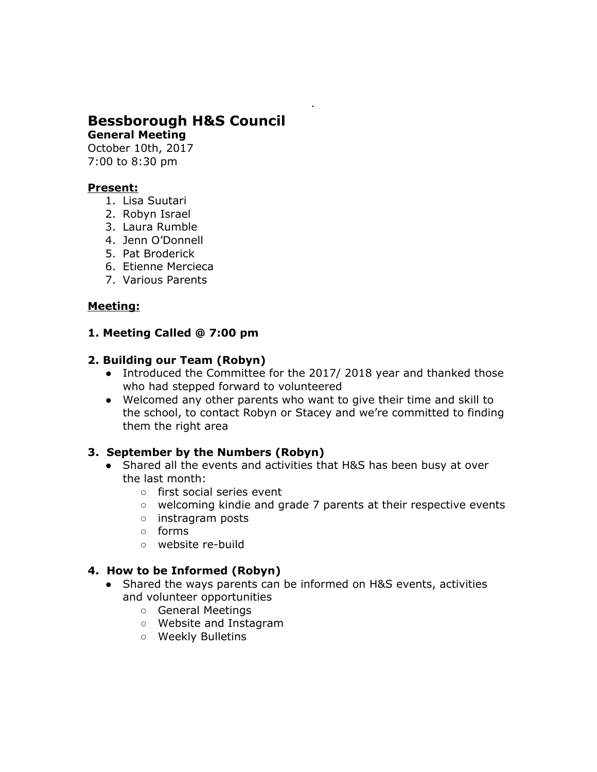# **Bessborough H&S Council**

**General Meeting**

October 10th, 2017 7:00 to 8:30 pm

### **Present:**

- 1. Lisa Suutari
- 2. Robyn Israel
- 3. Laura Rumble
- 4. Jenn O'Donnell
- 5. Pat Broderick
- 6. Etienne Mercieca
- 7. Various Parents

## **Meeting:**

## **1. Meeting Called @ 7:00 pm**

### **2. Building our Team (Robyn)**

- Introduced the Committee for the 2017/2018 year and thanked those who had stepped forward to volunteered
- Welcomed any other parents who want to give their time and skill to the school, to contact Robyn or Stacey and we're committed to finding them the right area

## **3. September by the Numbers (Robyn)**

- Shared all the events and activities that H&S has been busy at over the last month:
	- first social series event
	- welcoming kindie and grade 7 parents at their respective events
	- instragram posts
	- forms
	- website re-build

## **4. How to be Informed (Robyn)**

- Shared the ways parents can be informed on H&S events, activities and volunteer opportunities
	- General Meetings
	- Website and Instagram
	- Weekly Bulletins